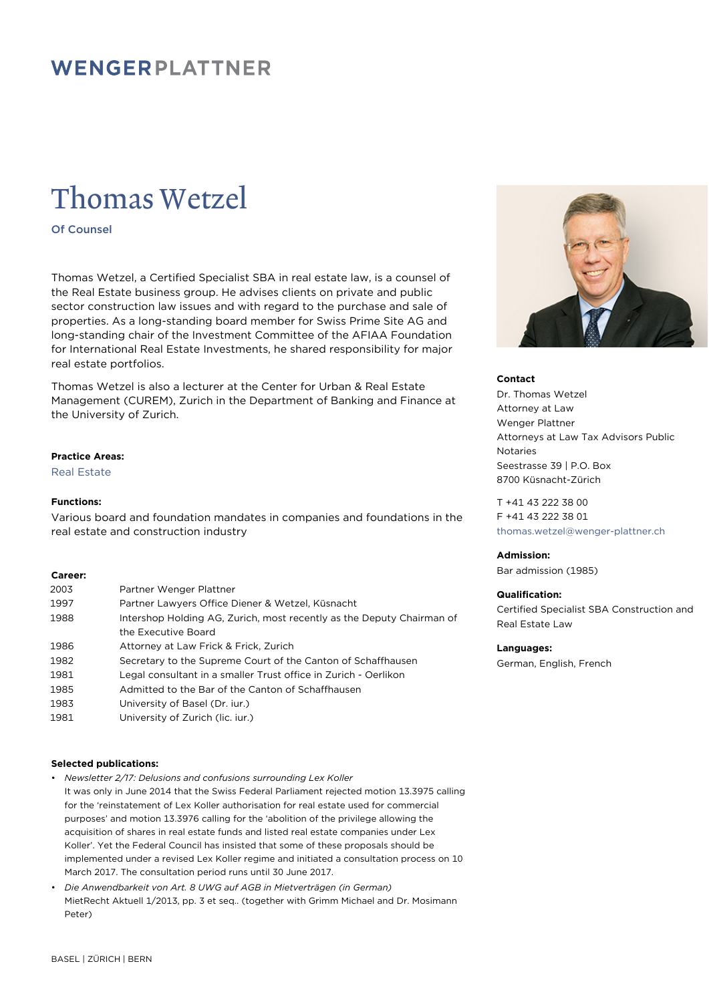# WENGERPLATTNER

# Thomas Wetzel

Of Counsel

Thomas Wetzel, a Certified Specialist SBA in real estate law, is a counsel of the Real Estate business group. He advises clients on private and public sector construction law issues and with regard to the purchase and sale of properties. As a long-standing board member for Swiss Prime Site AG and long-standing chair of the Investment Committee of the AFIAA Foundation for International Real Estate Investments, he shared responsibility for major real estate portfolios.

Thomas Wetzel is also a lecturer at the Center for Urban & Real Estate Management (CUREM), Zurich in the Department of Banking and Finance at the University of Zurich.

# **Practice Areas:**

Real Estate

## **Functions:**

Various board and foundation mandates in companies and foundations in the real estate and construction industry

## **Career:**

| 2003 | Partner Wenger Plattner                                               |
|------|-----------------------------------------------------------------------|
| 1997 | Partner Lawyers Office Diener & Wetzel, Küsnacht                      |
| 1988 | Intershop Holding AG, Zurich, most recently as the Deputy Chairman of |
|      | the Executive Board                                                   |
| 1986 | Attorney at Law Frick & Frick, Zurich                                 |
| 1982 | Secretary to the Supreme Court of the Canton of Schaffhausen          |
| 1981 | Legal consultant in a smaller Trust office in Zurich - Oerlikon       |
| 1985 | Admitted to the Bar of the Canton of Schaffhausen                     |
| 1983 | University of Basel (Dr. jur.)                                        |
| 1981 | University of Zurich (lic. jur.)                                      |

# **Selected publications:**

• *Newsletter 2/17: Delusions and confusions surrounding Lex Koller*

- It was only in June 2014 that the Swiss Federal Parliament rejected motion 13.3975 calling for the 'reinstatement of Lex Koller authorisation for real estate used for commercial purposes' and motion 13.3976 calling for the 'abolition of the privilege allowing the acquisition of shares in real estate funds and listed real estate companies under Lex Koller'. Yet the Federal Council has insisted that some of these proposals should be implemented under a revised Lex Koller regime and initiated a consultation process on 10 March 2017. The consultation period runs until 30 June 2017.
- *Die Anwendbarkeit von Art. 8 UWG auf AGB in Mietverträgen (in German)* MietRecht Aktuell 1/2013, pp. 3 et seq.. (together with Grimm Michael and Dr. Mosimann Peter)



#### **Contact**

Dr. Thomas Wetzel Attorney at Law Wenger Plattner Attorneys at Law Tax Advisors Public Notaries Seestrasse 39 | P.O. Box 8700 Küsnacht-Zürich

T +41 43 222 38 00 F +41 43 222 38 01 [thomas.wetzel@wenger-plattner.ch](mailto:thomas.wetzel@wenger-plattner.ch)

# **Admission:**

Bar admission (1985)

## **Qualification:**

Certified Specialist SBA Construction and Real Estate Law

#### **Languages:**

German, English, French